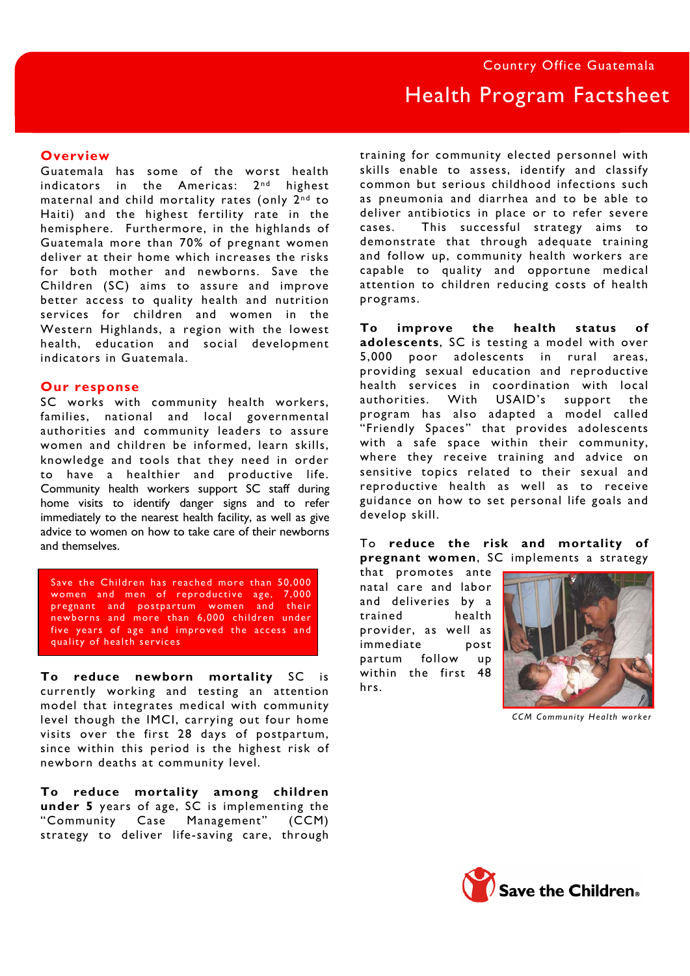## **Overview**

Guatemala has some of the worst health indicators in the Americas:  $2<sup>nd</sup>$  highest maternal and child mortality rates (only 2<sup>nd</sup> to Haiti) and the highest fertility rate in the hemisphere. Furthermore, in the highlands of Guatemala more than 70% of pregnant women deliver at their home which increases the risks for both mother and newborns. Save the Children (SC) aims to assure and improve better access to quality health and nutrition services for children and women in the Western Highlands, a region with the lowest health, education and social development indicators in Guatemala.

## **Our response**

SC works with community health workers, families, national and local governmental authorities and community leaders to assure women and children be informed, learn skills, knowledge and tools that they need in order to have a healthier and productive life. Community health workers support SC staff during home visits to identify danger signs and to refer immediately to the nearest health facility, as well as give advice to women on how to take care of their newborns and themselves.

Save the Children has reached more than 50,000 women and men of reproductive age, 7,000 pregnant and postpartum women and their newborns and more than 6,000 children under five years of age and improved the access and quality of health services

**To reduce newborn mortality** SC is currently working and testing an attention model that integrates medical with community level though the IMCI, carrying out four home visits over the first 28 days of postpartum, since within this period is the highest risk of newborn deaths at community level.

**To reduce mortality among children under 5** years of age, SC is implementing the "Community Case Management" (CCM) strategy to deliver life-saving care, through training for community elected personnel with skills enable to assess, identify and classify common but serious childhood infections such as pneumonia and diarrhea and to be able to deliver antibiotics in place or to refer severe cases. This successful strategy aims to demonstrate that through adequate training and follow up, community health workers are capable to quality and opportune medical attention to children reducing costs of health programs.

**To improve the health status of adolescents**, SC is testing a model with over 5,000 poor adolescents in rural areas, providing sexual education and reproductive health services in coordination with local authorities. With USAID's support the program has also adapted a model called "Friendly Spaces" that provides adolescents with a safe space within their community, where they receive training and advice on sensitive topics related to their sexual and reproductive health as well as to receive guidance on how to set personal life goals and develop skill.

To **reduce the risk and mortality of pregnant women**, SC implements a strategy

that promotes ante natal care and labor and deliveries by a trained health provider, as well as immediate post partum follow up within the first 48 hrs.



*CCM Community Health worker*